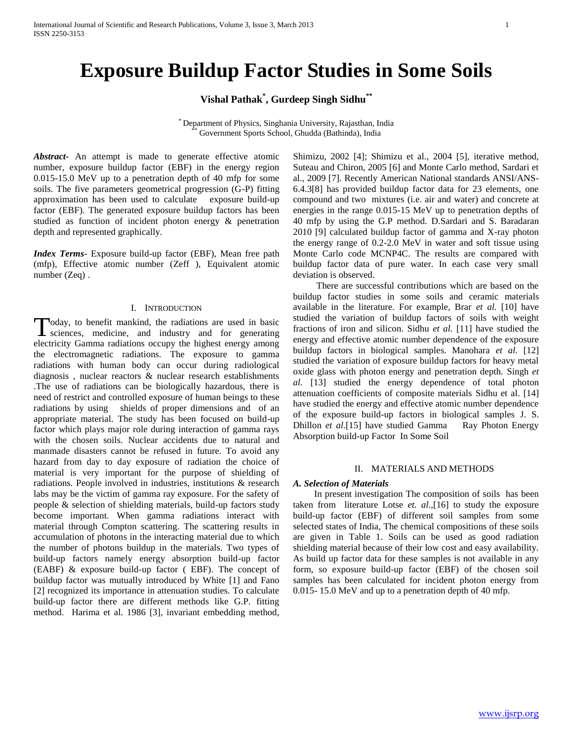# **Exposure Buildup Factor Studies in Some Soils**

**Vishal Pathak\* , Gurdeep Singh Sidhu\*\***

\* Department of Physics, Singhania University, Rajasthan, India \*\* Government Sports School, Ghudda (Bathinda), India

*Abstract***-** An attempt is made to generate effective atomic number, exposure buildup factor (EBF) in the energy region 0.015-15.0 MeV up to a penetration depth of 40 mfp for some soils. The five parameters geometrical progression (G-P) fitting approximation has been used to calculate exposure build-up factor (EBF). The generated exposure buildup factors has been studied as function of incident photon energy & penetration depth and represented graphically.

*Index Terms*- Exposure build-up factor (EBF), Mean free path (mfp), Effective atomic number (Zeff ), Equivalent atomic number (Zeq) .

#### I. INTRODUCTION

oday, to benefit mankind, the radiations are used in basic Today, to benefit mankind, the radiations are used in basic<br>sciences, medicine, and industry and for generating electricity Gamma radiations occupy the highest energy among the electromagnetic radiations. The exposure to gamma radiations with human body can occur during radiological diagnosis , nuclear reactors & nuclear research establishments .The use of radiations can be biologically hazardous, there is need of restrict and controlled exposure of human beings to these radiations by using shields of proper dimensions and of an appropriate material. The study has been focused on build-up factor which plays major role during interaction of gamma rays with the chosen soils. Nuclear accidents due to natural and manmade disasters cannot be refused in future. To avoid any hazard from day to day exposure of radiation the choice of material is very important for the purpose of shielding of radiations. People involved in industries, institutions & research labs may be the victim of gamma ray exposure. For the safety of people & selection of shielding materials, build-up factors study become important. When gamma radiations interact with material through Compton scattering. The scattering results in accumulation of photons in the interacting material due to which the number of photons buildup in the materials. Two types of build-up factors namely energy absorption build-up factor (EABF) & exposure build-up factor ( EBF). The concept of buildup factor was mutually introduced by White [1] and Fano [2] recognized its importance in attenuation studies. To calculate build-up factor there are different methods like G.P. fitting method. Harima et al. 1986 [3], invariant embedding method,

Shimizu, 2002 [4]; Shimizu et al., 2004 [5], iterative method, Suteau and Chiron, 2005 [6] and Monte Carlo method, Sardari et al., 2009 [7]. Recently American National standards ANSI/ANS-6.4.3[8] has provided buildup factor data for 23 elements, one compound and two mixtures (i.e. air and water) and concrete at energies in the range 0.015-15 MeV up to penetration depths of 40 mfp by using the G.P method. D.Sardari and S. Baradaran 2010 [9] calculated buildup factor of gamma and X-ray photon the energy range of 0.2-2.0 MeV in water and soft tissue using Monte Carlo code MCNP4C. The results are compared with buildup factor data of pure water. In each case very small deviation is observed.

 There are successful contributions which are based on the buildup factor studies in some soils and ceramic materials available in the literature. For example, Brar *et al.* [10] have studied the variation of buildup factors of soils with weight fractions of iron and silicon. Sidhu *et al.* [11] have studied the energy and effective atomic number dependence of the exposure buildup factors in biological samples. Manohara *et al.* [12] studied the variation of exposure buildup factors for heavy metal oxide glass with photon energy and penetration depth. Singh *et al.* [13] studied the energy dependence of total photon attenuation coefficients of composite materials Sidhu et al. [14] have studied the energy and effective atomic number dependence of the exposure build-up factors in biological samples J. S. Dhillon *et al.*[15] have studied Gamma Ray Photon Energy Absorption build-up Factor In Some Soil

### II. MATERIALS AND METHODS

### *A. Selection of Materials*

 In present investigation The composition of soils has been taken from literature Lotse *et. al*.,[16] to study the exposure build-up factor (EBF) of different soil samples from some selected states of India, The chemical compositions of these soils are given in Table 1. Soils can be used as good radiation shielding material because of their low cost and easy availability. As build up factor data for these samples is not available in any form, so exposure build-up factor (EBF) of the chosen soil samples has been calculated for incident photon energy from 0.015- 15.0 MeV and up to a penetration depth of 40 mfp.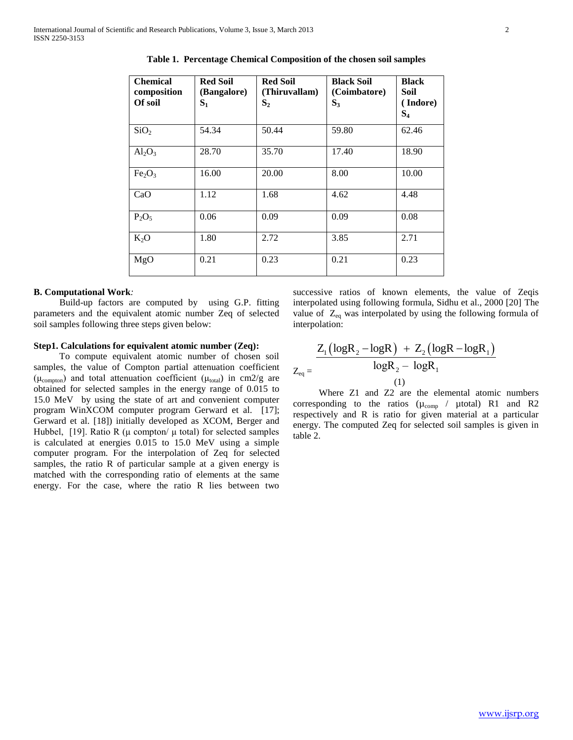| <b>Chemical</b><br>composition<br>Of soil | <b>Red Soil</b><br>(Bangalore)<br>$S_1$ | <b>Red Soil</b><br>(Thiruvallam)<br>S <sub>2</sub> | <b>Black Soil</b><br>(Coimbatore)<br>$S_3$ | <b>Black</b><br>Soil<br>(Indore)<br>$S_4$ |
|-------------------------------------------|-----------------------------------------|----------------------------------------------------|--------------------------------------------|-------------------------------------------|
| SiO <sub>2</sub>                          | 54.34                                   | 50.44                                              | 59.80                                      | 62.46                                     |
| $Al_2O_3$                                 | 28.70                                   | 35.70                                              | 17.40                                      | 18.90                                     |
| Fe <sub>2</sub> O <sub>3</sub>            | 16.00                                   | 20.00                                              | 8.00                                       | 10.00                                     |
| CaO                                       | 1.12                                    | 1.68                                               | 4.62                                       | 4.48                                      |
| $P_2O_5$                                  | 0.06                                    | 0.09                                               | 0.09                                       | 0.08                                      |
| $K_2O$                                    | 1.80                                    | 2.72                                               | 3.85                                       | 2.71                                      |
| MgO                                       | 0.21                                    | 0.23                                               | 0.21                                       | 0.23                                      |

**Table 1. Percentage Chemical Composition of the chosen soil samples**

#### **B. Computational Work***:*

 Build-up factors are computed by using G.P. fitting parameters and the equivalent atomic number Zeq of selected soil samples following three steps given below:

### **Step1. Calculations for equivalent atomic number (Zeq):**

 To compute equivalent atomic number of chosen soil samples, the value of Compton partial attenuation coefficient ( $\mu_{\text{compton}}$ ) and total attenuation coefficient ( $\mu_{\text{total}}$ ) in cm2/g are obtained for selected samples in the energy range of 0.015 to 15.0 MeV by using the state of art and convenient computer program WinXCOM computer program Gerward et al. [17]; Gerward et al. [18]) initially developed as XCOM, Berger and Hubbel, [19]. Ratio R ( $\mu$  compton/ $\mu$  total) for selected samples is calculated at energies 0.015 to 15.0 MeV using a simple computer program. For the interpolation of Zeq for selected samples, the ratio R of particular sample at a given energy is matched with the corresponding ratio of elements at the same energy. For the case, where the ratio R lies between two

successive ratios of known elements, the value of Zeqis interpolated using following formula, Sidhu et al., 2000 [20] The value of  $Z_{eq}$  was interpolated by using the following formula of interpolation:

$$
Z_{eq} = \frac{Z_1 (\log R_2 - \log R) + Z_2 (\log R - \log R_1)}{\log R_2 - \log R_1}
$$
  
(1)

 Where Z1 and Z2 are the elemental atomic numbers corresponding to the ratios  $(\mu_{comp} /$   $\mu$ total) R1 and R2 respectively and R is ratio for given material at a particular energy. The computed Zeq for selected soil samples is given in table 2.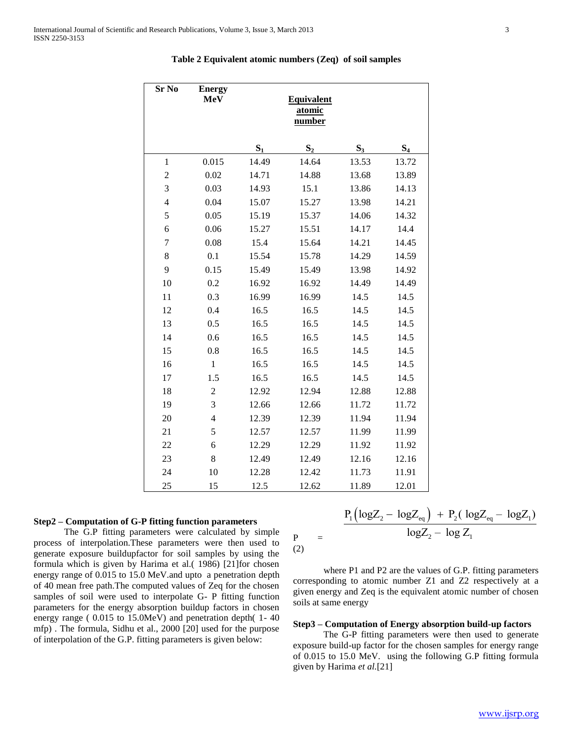| Sr No            | <b>Energy</b><br><b>MeV</b> | <b>Equivalent</b><br>atomic<br>number |       |       |       |  |
|------------------|-----------------------------|---------------------------------------|-------|-------|-------|--|
|                  |                             | $S_1$                                 | $S_2$ | $S_3$ | $S_4$ |  |
| $\mathbf{1}$     | 0.015                       | 14.49                                 | 14.64 | 13.53 | 13.72 |  |
| $\boldsymbol{2}$ | 0.02                        | 14.71                                 | 14.88 | 13.68 | 13.89 |  |
| 3                | 0.03                        | 14.93                                 | 15.1  | 13.86 | 14.13 |  |
| $\overline{4}$   | 0.04                        | 15.07                                 | 15.27 | 13.98 | 14.21 |  |
| 5                | 0.05                        | 15.19                                 | 15.37 | 14.06 | 14.32 |  |
| 6                | 0.06                        | 15.27                                 | 15.51 | 14.17 | 14.4  |  |
| 7                | 0.08                        | 15.4                                  | 15.64 | 14.21 | 14.45 |  |
| 8                | 0.1                         | 15.54                                 | 15.78 | 14.29 | 14.59 |  |
| 9                | 0.15                        | 15.49                                 | 15.49 | 13.98 | 14.92 |  |
| 10               | 0.2                         | 16.92                                 | 16.92 | 14.49 | 14.49 |  |
| 11               | 0.3                         | 16.99                                 | 16.99 | 14.5  | 14.5  |  |
| 12               | 0.4                         | 16.5                                  | 16.5  | 14.5  | 14.5  |  |
| 13               | 0.5                         | 16.5                                  | 16.5  | 14.5  | 14.5  |  |
| 14               | 0.6                         | 16.5                                  | 16.5  | 14.5  | 14.5  |  |
| 15               | 0.8                         | 16.5                                  | 16.5  | 14.5  | 14.5  |  |
| 16               | $\mathbf{1}$                | 16.5                                  | 16.5  | 14.5  | 14.5  |  |
| 17               | 1.5                         | 16.5                                  | 16.5  | 14.5  | 14.5  |  |
| 18               | $\overline{c}$              | 12.92                                 | 12.94 | 12.88 | 12.88 |  |
| 19               | 3                           | 12.66                                 | 12.66 | 11.72 | 11.72 |  |
| 20               | $\overline{4}$              | 12.39                                 | 12.39 | 11.94 | 11.94 |  |
| 21               | 5                           | 12.57                                 | 12.57 | 11.99 | 11.99 |  |
| 22               | 6                           | 12.29                                 | 12.29 | 11.92 | 11.92 |  |
| 23               | 8                           | 12.49                                 | 12.49 | 12.16 | 12.16 |  |
| 24               | 10                          | 12.28                                 | 12.42 | 11.73 | 11.91 |  |
| 25               | 15                          | 12.5                                  | 12.62 | 11.89 | 12.01 |  |

 $\mathbf P$ 

(2)

## **Table 2 Equivalent atomic numbers (Zeq) of soil samples**

## **Step2 – Computation of G-P fitting function parameters**

 The G.P fitting parameters were calculated by simple process of interpolation.These parameters were then used to generate exposure buildupfactor for soil samples by using the formula which is given by Harima et al.( 1986) [21]for chosen energy range of 0.015 to 15.0 MeV.and upto a penetration depth of 40 mean free path.The computed values of Zeq for the chosen samples of soil were used to interpolate G- P fitting function parameters for the energy absorption buildup factors in chosen energy range ( 0.015 to 15.0MeV) and penetration depth( 1- 40 mfp) . The formula, Sidhu et al., 2000 [20] used for the purpose of interpolation of the G.P. fitting parameters is given below:

$$
= \frac{P_1 (log Z_2 - log Z_{eq}) + P_2 (log Z_{eq} - log Z_1)}{log Z_2 - log Z_1}
$$

 where P1 and P2 are the values of G.P. fitting parameters corresponding to atomic number Z1 and Z2 respectively at a given energy and Zeq is the equivalent atomic number of chosen soils at same energy

#### **Step3 – Computation of Energy absorption build-up factors**

 The G-P fitting parameters were then used to generate exposure build-up factor for the chosen samples for energy range of 0.015 to 15.0 MeV. using the following G.P fitting formula given by Harima *et al.*[21]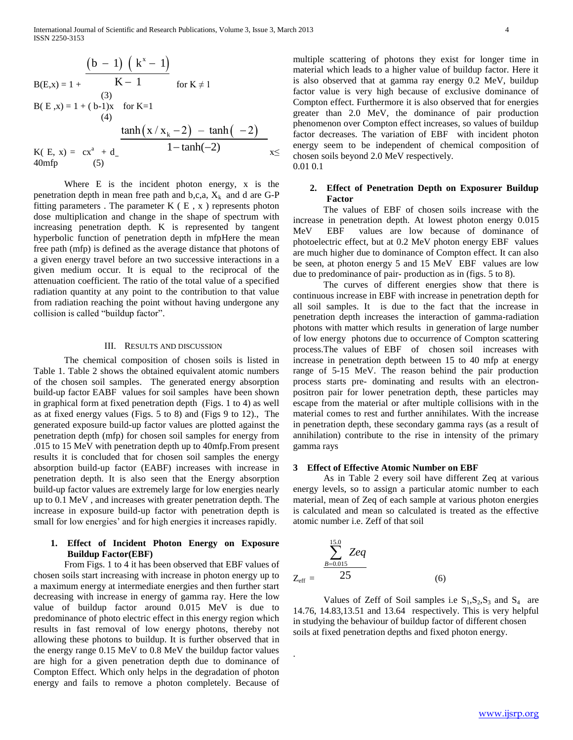$$
B(E,x) = 1 + \frac{(b-1) (k^{x} - 1)}{K-1}
$$
  
For  $K \ne 1$   
or  $K \ne 1$   
or  $K \ne 1$   
(3)  

$$
B(E,x) = 1 + (b-1)x
$$
 for  $K=1$   
(4)  

$$
\frac{\tanh(x/x_{k} - 2) - \tanh(-2)}{1 - \tanh(-2)}
$$
  

$$
K(E, x) = cx^{a} + d_{a}
$$
  
(5)

 Where E is the incident photon energy, x is the penetration depth in mean free path and b,c,a,  $X_k$  and d are G-P fitting parameters . The parameter  $K$  ( $E$ ,  $x$ ) represents photon dose multiplication and change in the shape of spectrum with increasing penetration depth. K is represented by tangent hyperbolic function of penetration depth in mfpHere the mean free path (mfp) is defined as the average distance that photons of a given energy travel before an two successive interactions in a given medium occur. It is equal to the reciprocal of the attenuation coefficient. The ratio of the total value of a specified radiation quantity at any point to the contribution to that value from radiation reaching the point without having undergone any collision is called "buildup factor".

### III. RESULTS AND DISCUSSION

 The chemical composition of chosen soils is listed in Table 1. Table 2 shows the obtained equivalent atomic numbers of the chosen soil samples. The generated energy absorption build-up factor EABF values for soil samples have been shown in graphical form at fixed penetration depth (Figs. 1 to 4) as well as at fixed energy values (Figs. 5 to 8) and (Figs 9 to 12)., The generated exposure build-up factor values are plotted against the penetration depth (mfp) for chosen soil samples for energy from .015 to 15 MeV with penetration depth up to 40mfp.From present results it is concluded that for chosen soil samples the energy absorption build-up factor (EABF) increases with increase in penetration depth. It is also seen that the Energy absorption build-up factor values are extremely large for low energies nearly up to 0.1 MeV , and increases with greater penetration depth. The increase in exposure build-up factor with penetration depth is small for low energies' and for high energies it increases rapidly.

## **1. Effect of Incident Photon Energy on Exposure Buildup Factor(EBF)**

 From Figs. 1 to 4 it has been observed that EBF values of chosen soils start increasing with increase in photon energy up to a maximum energy at intermediate energies and then further start decreasing with increase in energy of gamma ray. Here the low value of buildup factor around 0.015 MeV is due to predominance of photo electric effect in this energy region which results in fast removal of low energy photons, thereby not allowing these photons to buildup. It is further observed that in the energy range 0.15 MeV to 0.8 MeV the buildup factor values are high for a given penetration depth due to dominance of Compton Effect. Which only helps in the degradation of photon energy and fails to remove a photon completely. Because of

multiple scattering of photons they exist for longer time in material which leads to a higher value of buildup factor. Here it is also observed that at gamma ray energy 0.2 MeV, buildup factor value is very high because of exclusive dominance of Compton effect. Furthermore it is also observed that for energies greater than 2.0 MeV, the dominance of pair production phenomenon over Compton effect increases, so values of buildup factor decreases. The variation of EBF with incident photon energy seem to be independent of chemical composition of chosen soils beyond 2.0 MeV respectively. 0.01 0.1

## **2. Effect of Penetration Depth on Exposurer Buildup Factor**

 The values of EBF of chosen soils increase with the increase in penetration depth. At lowest photon energy 0.015 MeV EBF values are low because of dominance of photoelectric effect, but at 0.2 MeV photon energy EBF values are much higher due to dominance of Compton effect. It can also be seen, at photon energy 5 and 15 MeV EBF values are low due to predominance of pair- production as in (figs. 5 to 8).

 The curves of different energies show that there is continuous increase in EBF with increase in penetration depth for all soil samples. It is due to the fact that the increase in penetration depth increases the interaction of gamma-radiation photons with matter which results in generation of large number of low energy photons due to occurrence of Compton scattering process.The values of EBF of chosen soil increases with increase in penetration depth between 15 to 40 mfp at energy range of 5-15 MeV. The reason behind the pair production process starts pre- dominating and results with an electronpositron pair for lower penetration depth, these particles may escape from the material or after multiple collisions with in the material comes to rest and further annihilates. With the increase in penetration depth, these secondary gamma rays (as a result of annihilation) contribute to the rise in intensity of the primary gamma rays

### **3 Effect of Effective Atomic Number on EBF**

 As in Table 2 every soil have different Zeq at various energy levels, so to assign a particular atomic number to each material, mean of Zeq of each sample at various photon energies is calculated and mean so calculated is treated as the effective atomic number i.e. Zeff of that soil

$$
Z_{\text{eff}} = \frac{\sum_{B=0.015}^{15.0} Zeq}{25}
$$
 (6)

.

Values of Zeff of Soil samples i.e  $S_1$ ,  $S_2$ ,  $S_3$  and  $S_4$  are 14.76, 14.83,13.51 and 13.64 respectively. This is very helpful in studying the behaviour of buildup factor of different chosen soils at fixed penetration depths and fixed photon energy.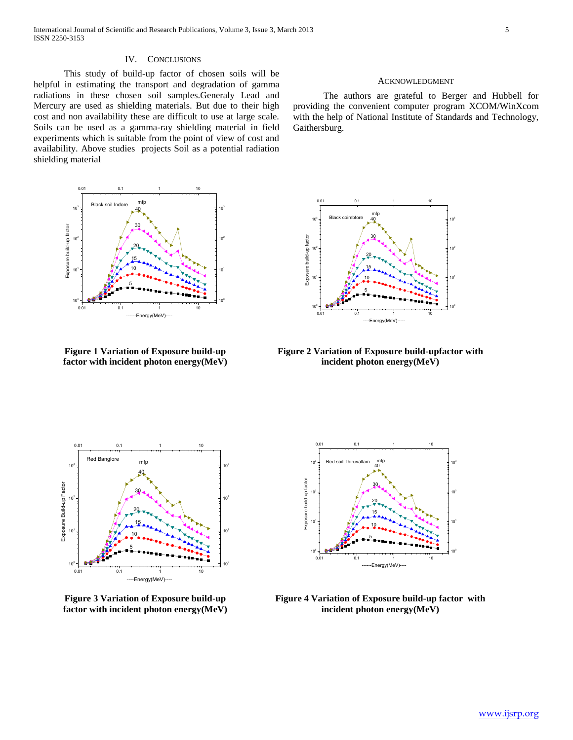#### IV. CONCLUSIONS

 This study of build-up factor of chosen soils will be helpful in estimating the transport and degradation of gamma radiations in these chosen soil samples.Generaly Lead and Mercury are used as shielding materials. But due to their high cost and non availability these are difficult to use at large scale. Soils can be used as a gamma-ray shielding material in field experiments which is suitable from the point of view of cost and availability. Above studies projects Soil as a potential radiation shielding material



**Figure 1 Variation of Exposure build-up factor with incident photon energy(MeV)**



#### ACKNOWLEDGMENT

 The authors are grateful to Berger and Hubbell for providing the convenient computer program XCOM/WinXcom with the help of National Institute of Standards and Technology, Gaithersburg.



**Figure 2 Variation of Exposure build-upfactor with incident photon energy(MeV)**



**Figure 3 Variation of Exposure build-up factor with incident photon energy(MeV)**



**Figure 4 Variation of Exposure build-up factor with incident photon energy(MeV)**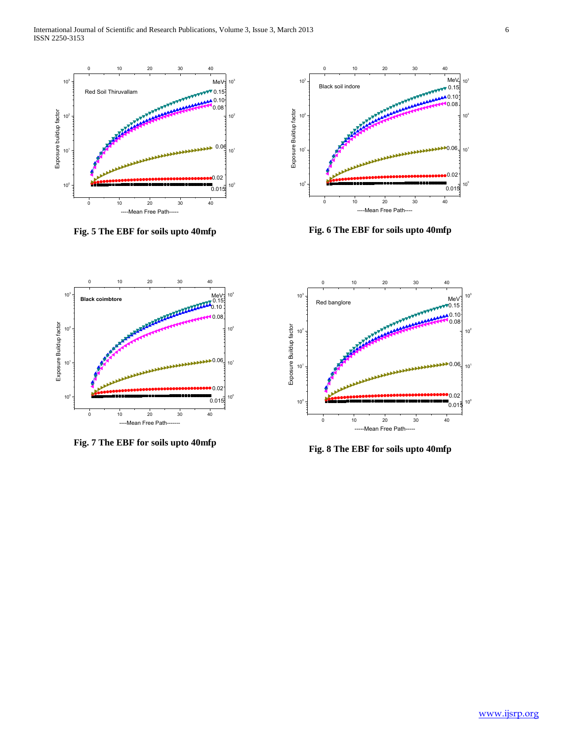

**Fig. 5 The EBF for soils upto 40mfp**



**Fig. 6 The EBF for soils upto 40mfp**



**Fig. 7 The EBF for soils upto 40mfp**



**Fig. 8 The EBF for soils upto 40mfp**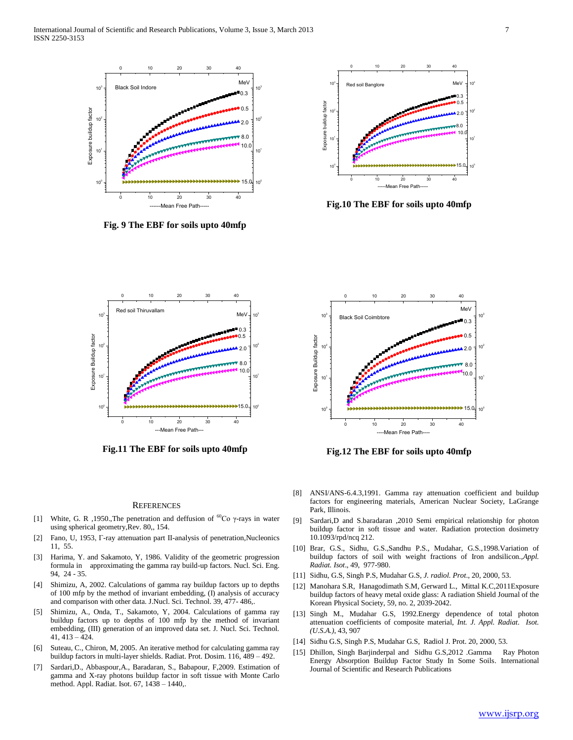

**Fig. 9 The EBF for soils upto 40mfp**



**Fig.10 The EBF for soils upto 40mfp**



**Fig.11 The EBF for soils upto 40mfp**



**Fig.12 The EBF for soils upto 40mfp**

#### **REFERENCES**

- [1] White, G. R ,1950.,The penetration and deffusion of  ${}^{60}Co$   $\gamma$ -rays in water using spherical geometry,Rev. 80,, 154.
- [2] Fano, U, 1953, Г-ray attenuation part II-analysis of penetration,Nucleonics 11, 55.
- [3] Harima, Y. and Sakamoto, Y, 1986. Validity of the geometric progression formula in approximating the gamma ray build-up factors. Nucl. Sci. Eng. 94, 24 - 35.
- [4] Shimizu, A, 2002. Calculations of gamma ray buildup factors up to depths of 100 mfp by the method of invariant embedding, (I) analysis of accuracy and comparison with other data. J.Nucl. Sci. Technol. 39, 477- 486,.
- [5] Shimizu, A., Onda, T., Sakamoto, Y, 2004. Calculations of gamma ray buildup factors up to depths of 100 mfp by the method of invariant embedding, (III) generation of an improved data set. J. Nucl. Sci. Technol. 41, 413 – 424.
- [6] Suteau, C., Chiron, M, 2005. An iterative method for calculating gamma ray buildup factors in multi-layer shields. Radiat. Prot. Dosim. 116, 489 – 492.
- [7] Sardari,D., Abbaspour,A., Baradaran, S., Babapour, F,2009. Estimation of gamma and X-ray photons buildup factor in soft tissue with Monte Carlo method. Appl. Radiat. Isot. 67, 1438 – 1440,.
- [8] ANSI/ANS-6.4.3,1991. Gamma ray attenuation coefficient and buildup factors for engineering materials, American Nuclear Society, LaGrange Park, Illinois.
- [9] Sardari,D and S.baradaran ,2010 Semi empirical relationship for photon buildup factor in soft tissue and water. Radiation protection dosimetry 10.1093/rpd/ncq 212.
- [10] Brar, G.S., Sidhu, G.S.,Sandhu P.S., Mudahar, G.S.,1998.Variation of buildup factors of soil with weight fractions of Iron andsilicon.,*Appl. Radiat. Isot*., 49, 977-980.
- [11] Sidhu, G.S, Singh P.S, Mudahar G.S, *J. radiol. Prot*., 20, 2000, 53.
- [12] Manohara S.R, Hanagodimath S.M, Gerward L., Mittal K.C,2011Exposure buildup factors of heavy metal oxide glass: A radiation Shield Journal of the Korean Physical Society, 59, no. 2, 2039-2042.
- [13] Singh M., Mudahar G.S, 1992. Energy dependence of total photon attenuation coefficients of composite material, *Int. J. Appl. Radiat. Isot. (U.S.A.)*, 43, 907
- [14] Sidhu G.S, Singh P.S, Mudahar G.S, Radiol J. Prot. 20, 2000, 53.
- [15] Dhillon, Singh Barjinderpal and Sidhu G.S,2012 .Gamma Ray Photon Energy Absorption Buildup Factor Study In Some Soils. International Journal of Scientific and Research Publications